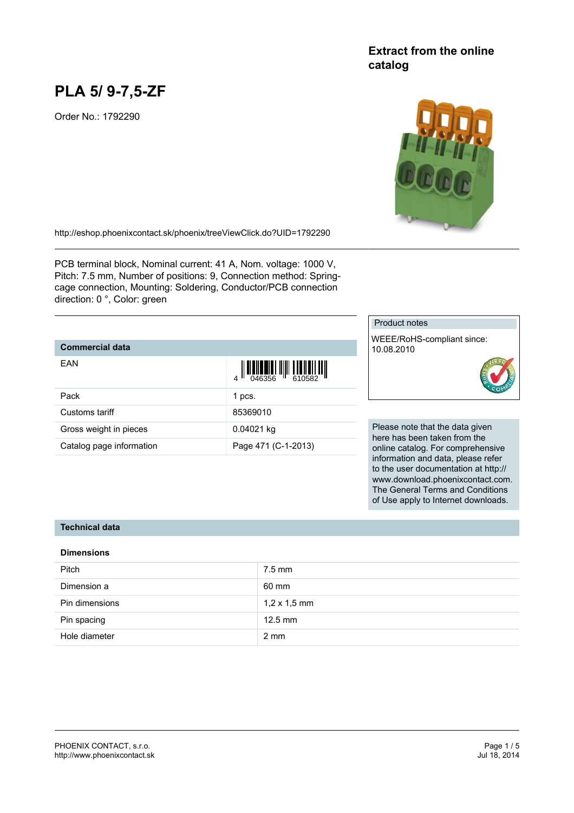# **PLA 5/ 9-7,5-ZF**

Order No.: 1792290

## **Extract from the online catalog**



<http://eshop.phoenixcontact.sk/phoenix/treeViewClick.do?UID=1792290>

PCB terminal block, Nominal current: 41 A, Nom. voltage: 1000 V, Pitch: 7.5 mm, Number of positions: 9, Connection method: Springcage connection, Mounting: Soldering, Conductor/PCB connection direction: 0 °, Color: green

#### **Commercial data**

| EAN                      | $\left\  \prod_{0.46356} \right\  \left\  \prod_{610582} \right\  \left\  \prod_{100832} \right\ $ |
|--------------------------|----------------------------------------------------------------------------------------------------|
| Pack                     | 1 pcs.                                                                                             |
| Customs tariff           | 85369010                                                                                           |
| Gross weight in pieces   | 0.04021 kg                                                                                         |
| Catalog page information | Page 471 (C-1-2013)                                                                                |

#### Product notes

WEEE/RoHS-compliant since: 10.08.2010



Please note that the data given here has been taken from the online catalog. For comprehensive information and data, please refer to the user documentation at http:// www.download.phoenixcontact.com. The General Terms and Conditions of Use apply to Internet downloads.

#### **Technical data**

#### **Dimensions**

| <b>Pitch</b>   | $7.5$ mm            |
|----------------|---------------------|
| Dimension a    | 60 mm               |
| Pin dimensions | $1,2 \times 1,5$ mm |
| Pin spacing    | $12.5$ mm           |
| Hole diameter  | $2 \text{ mm}$      |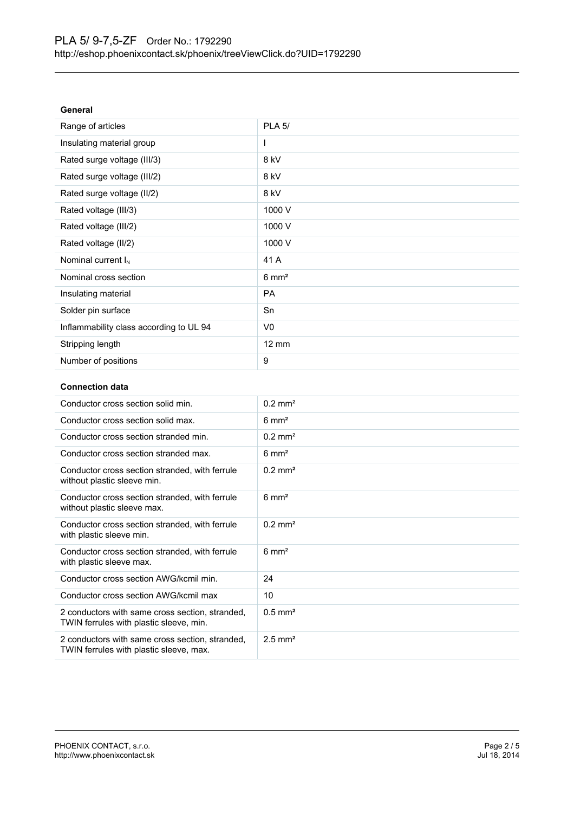| General                                 |                  |
|-----------------------------------------|------------------|
| Range of articles                       | <b>PLA 5/</b>    |
| Insulating material group               | L                |
| Rated surge voltage (III/3)             | 8 kV             |
| Rated surge voltage (III/2)             | 8 kV             |
| Rated surge voltage (II/2)              | 8 kV             |
| Rated voltage (III/3)                   | 1000 V           |
| Rated voltage (III/2)                   | 1000 V           |
| Rated voltage (II/2)                    | 1000 V           |
| Nominal current $I_N$                   | 41 A             |
| Nominal cross section                   | $6 \text{ mm}^2$ |
| Insulating material                     | <b>PA</b>        |
| Solder pin surface                      | Sn               |
| Inflammability class according to UL 94 | V <sub>0</sub>   |
| Stripping length                        | 12 mm            |
| Number of positions                     | 9                |
|                                         |                  |

#### **Connection data**

| Conductor cross section solid min.                                                         | $0.2$ mm <sup>2</sup> |
|--------------------------------------------------------------------------------------------|-----------------------|
| Conductor cross section solid max.                                                         | $6 \text{ mm}^2$      |
| Conductor cross section stranded min.                                                      | $0.2 \text{ mm}^2$    |
| Conductor cross section stranded max.                                                      | $6 \text{ mm}^2$      |
| Conductor cross section stranded, with ferrule<br>without plastic sleeve min.              | $0.2$ mm <sup>2</sup> |
| Conductor cross section stranded, with ferrule<br>without plastic sleeve max.              | $6 \text{ mm}^2$      |
| Conductor cross section stranded, with ferrule<br>with plastic sleeve min.                 | $0.2$ mm <sup>2</sup> |
| Conductor cross section stranded, with ferrule<br>with plastic sleeve max.                 | $6 \text{ mm}^2$      |
| Conductor cross section AWG/kcmil min.                                                     | 24                    |
| Conductor cross section AWG/kcmil max                                                      | 10                    |
| 2 conductors with same cross section, stranded,<br>TWIN ferrules with plastic sleeve, min. | $0.5$ mm <sup>2</sup> |
| 2 conductors with same cross section, stranded,<br>TWIN ferrules with plastic sleeve, max. | $2.5$ mm <sup>2</sup> |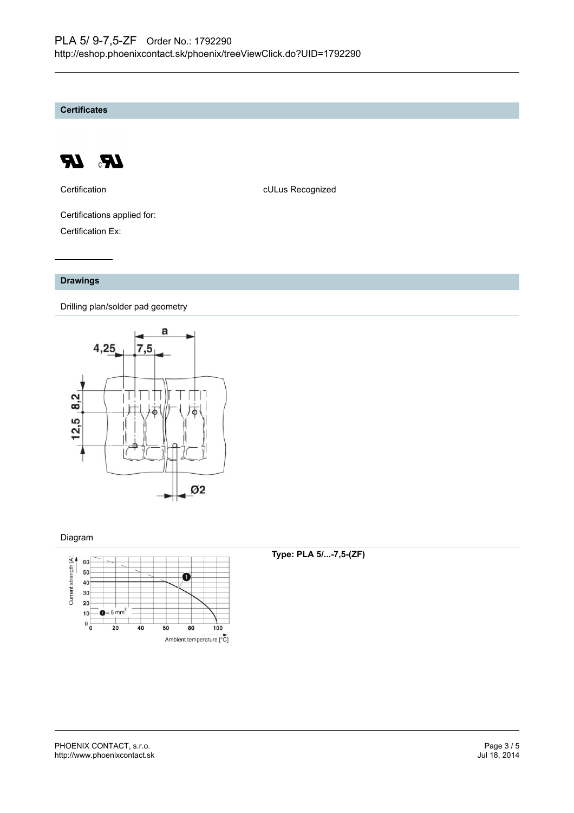**Certificates**



Certification **CERTIFICATE CULUS** Recognized

Certifications applied for: Certification Ex:

#### **Drawings**

Drilling plan/solder pad geometry



#### Diagram



#### **Type: PLA 5/...-7,5-(ZF)**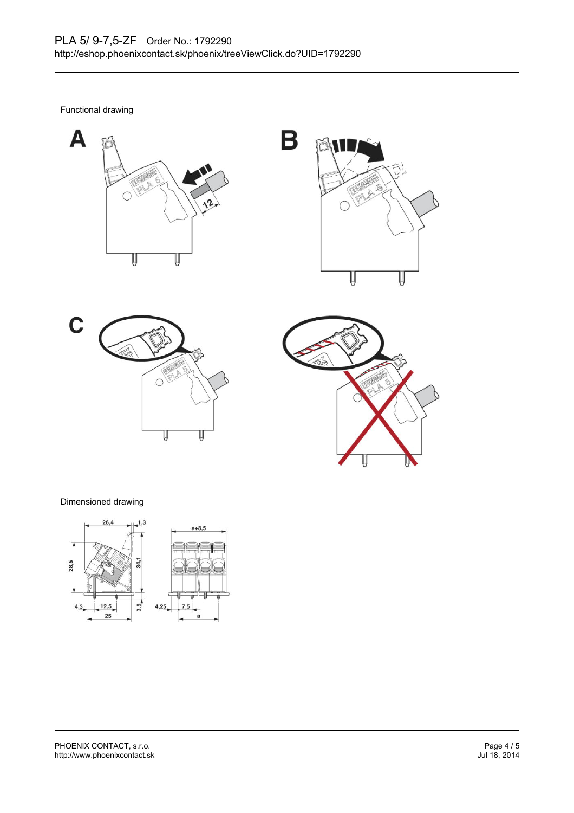B

Functional drawing









### Dimensioned drawing